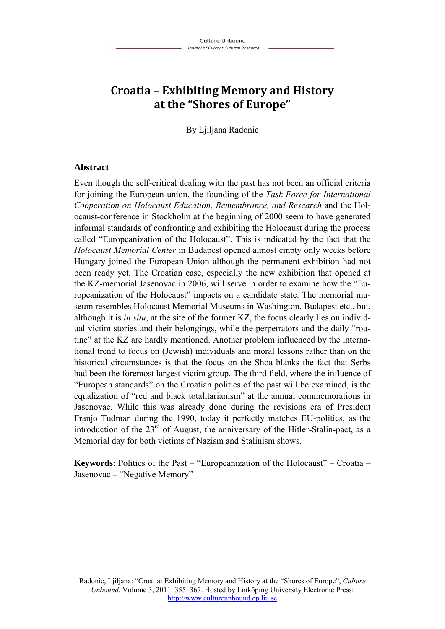# **Croatia – Exhibiting Memory and History at the "Shores of Europe"**

By Ljiljana Radonic

#### **Abstract**

Even though the self-critical dealing with the past has not been an official criteria for joining the European union, the founding of the *Task Force for International Cooperation on Holocaust Education, Remembrance, and Research* and the Holocaust-conference in Stockholm at the beginning of 2000 seem to have generated informal standards of confronting and exhibiting the Holocaust during the process called "Europeanization of the Holocaust". This is indicated by the fact that the *Holocaust Memorial Center* in Budapest opened almost empty only weeks before Hungary joined the European Union although the permanent exhibition had not been ready yet. The Croatian case, especially the new exhibition that opened at the KZ-memorial Jasenovac in 2006, will serve in order to examine how the "Europeanization of the Holocaust" impacts on a candidate state. The memorial museum resembles Holocaust Memorial Museums in Washington, Budapest etc., but, although it is *in situ*, at the site of the former KZ, the focus clearly lies on individual victim stories and their belongings, while the perpetrators and the daily "routine" at the KZ are hardly mentioned. Another problem influenced by the international trend to focus on (Jewish) individuals and moral lessons rather than on the historical circumstances is that the focus on the Shoa blanks the fact that Serbs had been the foremost largest victim group. The third field, where the influence of "European standards" on the Croatian politics of the past will be examined, is the equalization of "red and black totalitarianism" at the annual commemorations in Jasenovac. While this was already done during the revisions era of President Franjo Tuđman during the 1990, today it perfectly matches EU-politics, as the introduction of the  $23<sup>rd</sup>$  of August, the anniversary of the Hitler-Stalin-pact, as a Memorial day for both victims of Nazism and Stalinism shows.

**Keywords**: Politics of the Past – "Europeanization of the Holocaust" – Croatia – Jasenovac – "Negative Memory"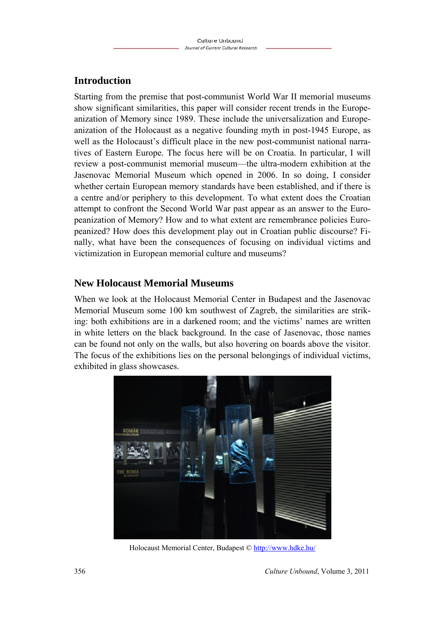## **Introduction**

Starting from the premise that post-communist World War II memorial museums show significant similarities, this paper will consider recent trends in the Europeanization of Memory since 1989. These include the universalization and Europeanization of the Holocaust as a negative founding myth in post-1945 Europe, as well as the Holocaust's difficult place in the new post-communist national narratives of Eastern Europe. The focus here will be on Croatia. In particular, I will review a post-communist memorial museum—the ultra-modern exhibition at the Jasenovac Memorial Museum which opened in 2006. In so doing, I consider whether certain European memory standards have been established, and if there is a centre and/or periphery to this development. To what extent does the Croatian attempt to confront the Second World War past appear as an answer to the Europeanization of Memory? How and to what extent are remembrance policies Europeanized? How does this development play out in Croatian public discourse? Finally, what have been the consequences of focusing on individual victims and victimization in European memorial culture and museums?

### **New Holocaust Memorial Museums**

When we look at the Holocaust Memorial Center in Budapest and the Jasenovac Memorial Museum some 100 km southwest of Zagreb, the similarities are striking: both exhibitions are in a darkened room; and the victims' names are written in white letters on the black background. In the case of Jasenovac, those names can be found not only on the walls, but also hovering on boards above the visitor. The focus of the exhibitions lies on the personal belongings of individual victims, exhibited in glass showcases.



Holocaust Memorial Center, Budapest © http://www.hdke.hu/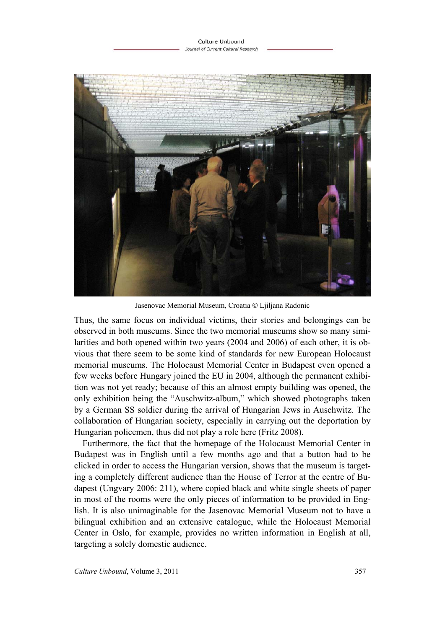

Jasenovac Memorial Museum, Croatia **©** Ljiljana Radonic

Thus, the same focus on individual victims, their stories and belongings can be observed in both museums. Since the two memorial museums show so many similarities and both opened within two years (2004 and 2006) of each other, it is obvious that there seem to be some kind of standards for new European Holocaust memorial museums. The Holocaust Memorial Center in Budapest even opened a few weeks before Hungary joined the EU in 2004, although the permanent exhibition was not yet ready; because of this an almost empty building was opened, the only exhibition being the "Auschwitz-album," which showed photographs taken by a German SS soldier during the arrival of Hungarian Jews in Auschwitz. The collaboration of Hungarian society, especially in carrying out the deportation by Hungarian policemen, thus did not play a role here (Fritz 2008).

Furthermore, the fact that the homepage of the Holocaust Memorial Center in Budapest was in English until a few months ago and that a button had to be clicked in order to access the Hungarian version, shows that the museum is targeting a completely different audience than the House of Terror at the centre of Budapest (Ungvary 2006: 211), where copied black and white single sheets of paper in most of the rooms were the only pieces of information to be provided in English. It is also unimaginable for the Jasenovac Memorial Museum not to have a bilingual exhibition and an extensive catalogue, while the Holocaust Memorial Center in Oslo, for example, provides no written information in English at all, targeting a solely domestic audience.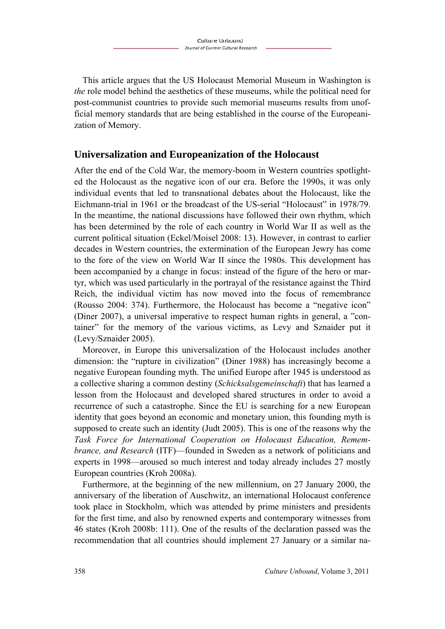This article argues that the US Holocaust Memorial Museum in Washington is *the* role model behind the aesthetics of these museums, while the political need for post-communist countries to provide such memorial museums results from unofficial memory standards that are being established in the course of the Europeanization of Memory.

### **Universalization and Europeanization of the Holocaust**

After the end of the Cold War, the memory-boom in Western countries spotlighted the Holocaust as the negative icon of our era. Before the 1990s, it was only individual events that led to transnational debates about the Holocaust, like the Eichmann-trial in 1961 or the broadcast of the US-serial "Holocaust" in 1978/79. In the meantime, the national discussions have followed their own rhythm, which has been determined by the role of each country in World War II as well as the current political situation (Eckel/Moisel 2008: 13). However, in contrast to earlier decades in Western countries, the extermination of the European Jewry has come to the fore of the view on World War II since the 1980s. This development has been accompanied by a change in focus: instead of the figure of the hero or martyr, which was used particularly in the portrayal of the resistance against the Third Reich, the individual victim has now moved into the focus of remembrance (Rousso 2004: 374). Furthermore, the Holocaust has become a "negative icon" (Diner 2007), a universal imperative to respect human rights in general, a "container" for the memory of the various victims, as Levy and Sznaider put it (Levy/Sznaider 2005).

Moreover, in Europe this universalization of the Holocaust includes another dimension: the "rupture in civilization" (Diner 1988) has increasingly become a negative European founding myth. The unified Europe after 1945 is understood as a collective sharing a common destiny (*Schicksalsgemeinschaft*) that has learned a lesson from the Holocaust and developed shared structures in order to avoid a recurrence of such a catastrophe. Since the EU is searching for a new European identity that goes beyond an economic and monetary union, this founding myth is supposed to create such an identity (Judt 2005). This is one of the reasons why the *Task Force for International Cooperation on Holocaust Education, Remembrance, and Research* (ITF)—founded in Sweden as a network of politicians and experts in 1998—aroused so much interest and today already includes 27 mostly European countries (Kroh 2008a).

Furthermore, at the beginning of the new millennium, on 27 January 2000, the anniversary of the liberation of Auschwitz, an international Holocaust conference took place in Stockholm, which was attended by prime ministers and presidents for the first time, and also by renowned experts and contemporary witnesses from 46 states (Kroh 2008b: 111). One of the results of the declaration passed was the recommendation that all countries should implement 27 January or a similar na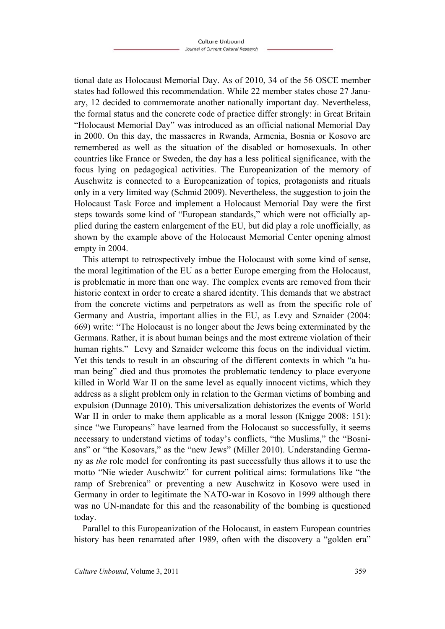tional date as Holocaust Memorial Day. As of 2010, 34 of the 56 OSCE member states had followed this recommendation. While 22 member states chose 27 January, 12 decided to commemorate another nationally important day. Nevertheless, the formal status and the concrete code of practice differ strongly: in Great Britain "Holocaust Memorial Day" was introduced as an official national Memorial Day in 2000. On this day, the massacres in Rwanda, Armenia, Bosnia or Kosovo are remembered as well as the situation of the disabled or homosexuals. In other countries like France or Sweden, the day has a less political significance, with the focus lying on pedagogical activities. The Europeanization of the memory of Auschwitz is connected to a Europeanization of topics, protagonists and rituals only in a very limited way (Schmid 2009). Nevertheless, the suggestion to join the Holocaust Task Force and implement a Holocaust Memorial Day were the first steps towards some kind of "European standards," which were not officially applied during the eastern enlargement of the EU, but did play a role unofficially, as shown by the example above of the Holocaust Memorial Center opening almost empty in 2004.

This attempt to retrospectively imbue the Holocaust with some kind of sense, the moral legitimation of the EU as a better Europe emerging from the Holocaust, is problematic in more than one way. The complex events are removed from their historic context in order to create a shared identity. This demands that we abstract from the concrete victims and perpetrators as well as from the specific role of Germany and Austria, important allies in the EU, as Levy and Sznaider (2004: 669) write: "The Holocaust is no longer about the Jews being exterminated by the Germans. Rather, it is about human beings and the most extreme violation of their human rights." Levy and Sznaider welcome this focus on the individual victim. Yet this tends to result in an obscuring of the different contexts in which "a human being" died and thus promotes the problematic tendency to place everyone killed in World War II on the same level as equally innocent victims, which they address as a slight problem only in relation to the German victims of bombing and expulsion (Dunnage 2010). This universalization dehistorizes the events of World War II in order to make them applicable as a moral lesson (Knigge 2008: 151): since "we Europeans" have learned from the Holocaust so successfully, it seems necessary to understand victims of today's conflicts, "the Muslims," the "Bosnians" or "the Kosovars," as the "new Jews" (Miller 2010). Understanding Germany as *the* role model for confronting its past successfully thus allows it to use the motto "Nie wieder Auschwitz" for current political aims: formulations like "the ramp of Srebrenica" or preventing a new Auschwitz in Kosovo were used in Germany in order to legitimate the NATO-war in Kosovo in 1999 although there was no UN-mandate for this and the reasonability of the bombing is questioned today.

Parallel to this Europeanization of the Holocaust, in eastern European countries history has been renarrated after 1989, often with the discovery a "golden era"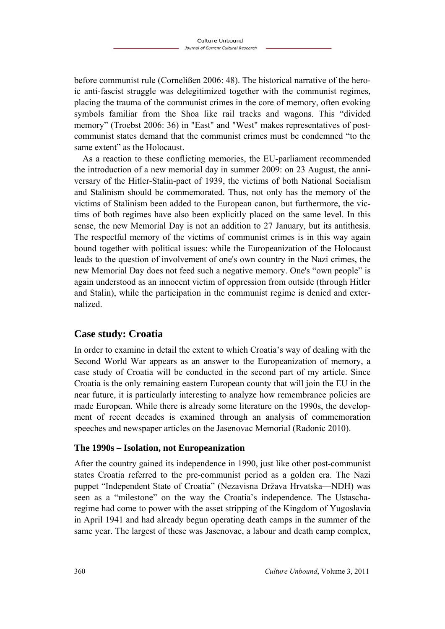before communist rule (Cornelißen 2006: 48). The historical narrative of the heroic anti-fascist struggle was delegitimized together with the communist regimes, placing the trauma of the communist crimes in the core of memory, often evoking symbols familiar from the Shoa like rail tracks and wagons. This "divided memory" (Troebst 2006: 36) in "East" and "West" makes representatives of postcommunist states demand that the communist crimes must be condemned "to the same extent" as the Holocaust.

As a reaction to these conflicting memories, the EU-parliament recommended the introduction of a new memorial day in summer 2009: on 23 August, the anniversary of the Hitler-Stalin-pact of 1939, the victims of both National Socialism and Stalinism should be commemorated. Thus, not only has the memory of the victims of Stalinism been added to the European canon, but furthermore, the victims of both regimes have also been explicitly placed on the same level. In this sense, the new Memorial Day is not an addition to 27 January, but its antithesis. The respectful memory of the victims of communist crimes is in this way again bound together with political issues: while the Europeanization of the Holocaust leads to the question of involvement of one's own country in the Nazi crimes, the new Memorial Day does not feed such a negative memory. One's "own people" is again understood as an innocent victim of oppression from outside (through Hitler and Stalin), while the participation in the communist regime is denied and externalized.

### **Case study: Croatia**

In order to examine in detail the extent to which Croatia's way of dealing with the Second World War appears as an answer to the Europeanization of memory, a case study of Croatia will be conducted in the second part of my article. Since Croatia is the only remaining eastern European county that will join the EU in the near future, it is particularly interesting to analyze how remembrance policies are made European. While there is already some literature on the 1990s, the development of recent decades is examined through an analysis of commemoration speeches and newspaper articles on the Jasenovac Memorial (Radonic 2010).

#### **The 1990s – Isolation, not Europeanization**

After the country gained its independence in 1990, just like other post-communist states Croatia referred to the pre-communist period as a golden era. The Nazi puppet "Independent State of Croatia" (Nezavisna Država Hrvatska—NDH) was seen as a "milestone" on the way the Croatia's independence. The Ustascharegime had come to power with the asset stripping of the Kingdom of Yugoslavia in April 1941 and had already begun operating death camps in the summer of the same year. The largest of these was Jasenovac, a labour and death camp complex,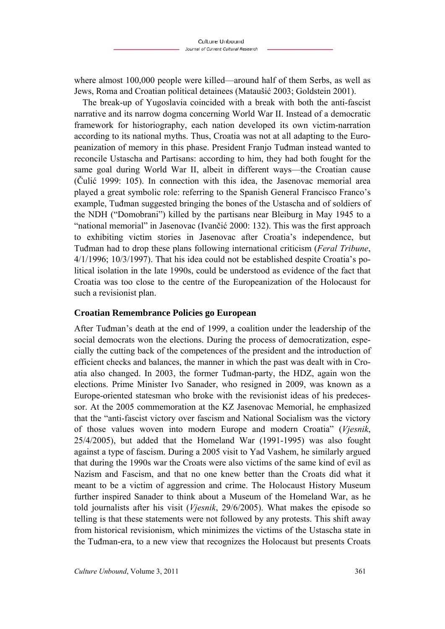where almost 100,000 people were killed—around half of them Serbs, as well as Jews, Roma and Croatian political detainees (Mataušić 2003; Goldstein 2001).

The break-up of Yugoslavia coincided with a break with both the anti-fascist narrative and its narrow dogma concerning World War II. Instead of a democratic framework for historiography, each nation developed its own victim-narration according to its national myths. Thus, Croatia was not at all adapting to the Europeanization of memory in this phase. President Franjo Tuđman instead wanted to reconcile Ustascha and Partisans: according to him, they had both fought for the same goal during World War II, albeit in different ways—the Croatian cause (Čulić 1999: 105). In connection with this idea, the Jasenovac memorial area played a great symbolic role: referring to the Spanish General Francisco Franco's example, Tuđman suggested bringing the bones of the Ustascha and of soldiers of the NDH ("Domobrani") killed by the partisans near Bleiburg in May 1945 to a "national memorial" in Jasenovac (Ivančić 2000: 132). This was the first approach to exhibiting victim stories in Jasenovac after Croatia's independence, but Tuđman had to drop these plans following international criticism (*Feral Tribune*, 4/1/1996; 10/3/1997). That his idea could not be established despite Croatia's political isolation in the late 1990s, could be understood as evidence of the fact that Croatia was too close to the centre of the Europeanization of the Holocaust for such a revisionist plan.

#### **Croatian Remembrance Policies go European**

After Tuđman's death at the end of 1999, a coalition under the leadership of the social democrats won the elections. During the process of democratization, especially the cutting back of the competences of the president and the introduction of efficient checks and balances, the manner in which the past was dealt with in Croatia also changed. In 2003, the former Tuđman-party, the HDZ, again won the elections. Prime Minister Ivo Sanader, who resigned in 2009, was known as a Europe-oriented statesman who broke with the revisionist ideas of his predecessor. At the 2005 commemoration at the KZ Jasenovac Memorial, he emphasized that the "anti-fascist victory over fascism and National Socialism was the victory of those values woven into modern Europe and modern Croatia" (*Vjesnik*, 25/4/2005), but added that the Homeland War (1991-1995) was also fought against a type of fascism. During a 2005 visit to Yad Vashem, he similarly argued that during the 1990s war the Croats were also victims of the same kind of evil as Nazism and Fascism, and that no one knew better than the Croats did what it meant to be a victim of aggression and crime. The Holocaust History Museum further inspired Sanader to think about a Museum of the Homeland War, as he told journalists after his visit (*Vjesnik*, 29/6/2005). What makes the episode so telling is that these statements were not followed by any protests. This shift away from historical revisionism, which minimizes the victims of the Ustascha state in the Tuđman-era, to a new view that recognizes the Holocaust but presents Croats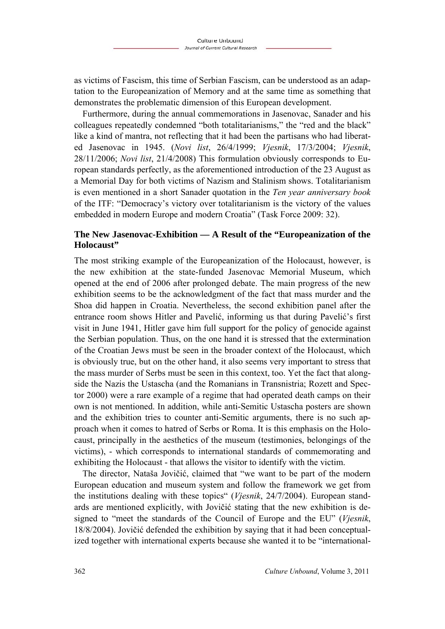as victims of Fascism, this time of Serbian Fascism, can be understood as an adaptation to the Europeanization of Memory and at the same time as something that demonstrates the problematic dimension of this European development.

Furthermore, during the annual commemorations in Jasenovac, Sanader and his colleagues repeatedly condemned "both totalitarianisms," the "red and the black" like a kind of mantra, not reflecting that it had been the partisans who had liberated Jasenovac in 1945. (*Novi list*, 26/4/1999; *Vjesnik*, 17/3/2004; *Vjesnik*, 28/11/2006; *Novi list*, 21/4/2008) This formulation obviously corresponds to European standards perfectly, as the aforementioned introduction of the 23 August as a Memorial Day for both victims of Nazism and Stalinism shows. Totalitarianism is even mentioned in a short Sanader quotation in the *Ten year anniversary book* of the ITF: "Democracy's victory over totalitarianism is the victory of the values embedded in modern Europe and modern Croatia" (Task Force 2009: 32).

#### **The New Jasenovac-Exhibition — A Result of the "Europeanization of the Holocaust"**

The most striking example of the Europeanization of the Holocaust, however, is the new exhibition at the state-funded Jasenovac Memorial Museum, which opened at the end of 2006 after prolonged debate. The main progress of the new exhibition seems to be the acknowledgment of the fact that mass murder and the Shoa did happen in Croatia. Nevertheless, the second exhibition panel after the entrance room shows Hitler and Pavelić, informing us that during Pavelić's first visit in June 1941, Hitler gave him full support for the policy of genocide against the Serbian population. Thus, on the one hand it is stressed that the extermination of the Croatian Jews must be seen in the broader context of the Holocaust, which is obviously true, but on the other hand, it also seems very important to stress that the mass murder of Serbs must be seen in this context, too. Yet the fact that alongside the Nazis the Ustascha (and the Romanians in Transnistria; Rozett and Spector 2000) were a rare example of a regime that had operated death camps on their own is not mentioned. In addition, while anti-Semitic Ustascha posters are shown and the exhibition tries to counter anti-Semitic arguments, there is no such approach when it comes to hatred of Serbs or Roma. It is this emphasis on the Holocaust, principally in the aesthetics of the museum (testimonies, belongings of the victims), - which corresponds to international standards of commemorating and exhibiting the Holocaust - that allows the visitor to identify with the victim.

The director, Nataša Jovičić, claimed that "we want to be part of the modern European education and museum system and follow the framework we get from the institutions dealing with these topics" (*Vjesnik*, 24/7/2004). European standards are mentioned explicitly, with Jovičić stating that the new exhibition is designed to "meet the standards of the Council of Europe and the EU" (*Vjesnik*, 18/8/2004). Jovičić defended the exhibition by saying that it had been conceptualized together with international experts because she wanted it to be "international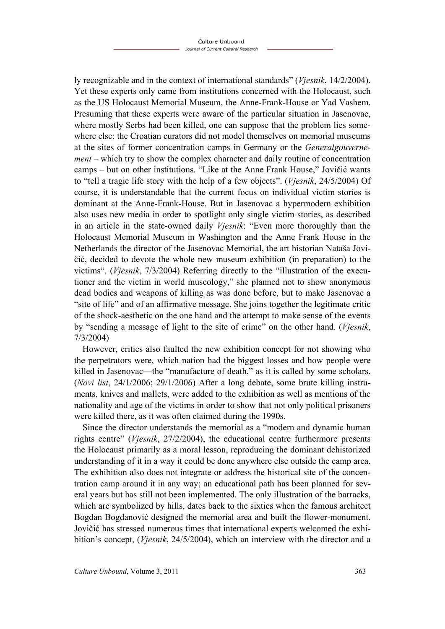ly recognizable and in the context of international standards" (*Vjesnik*, 14/2/2004). Yet these experts only came from institutions concerned with the Holocaust, such as the US Holocaust Memorial Museum, the Anne-Frank-House or Yad Vashem. Presuming that these experts were aware of the particular situation in Jasenovac, where mostly Serbs had been killed, one can suppose that the problem lies somewhere else: the Croatian curators did not model themselves on memorial museums at the sites of former concentration camps in Germany or the *Generalgouvernement* – which try to show the complex character and daily routine of concentration camps – but on other institutions. "Like at the Anne Frank House," Jovičić wants to "tell a tragic life story with the help of a few objects". (*Vjesnik*, 24/5/2004) Of course, it is understandable that the current focus on individual victim stories is dominant at the Anne-Frank-House. But in Jasenovac a hypermodern exhibition also uses new media in order to spotlight only single victim stories, as described in an article in the state-owned daily *Vjesnik*: "Even more thoroughly than the Holocaust Memorial Museum in Washington and the Anne Frank House in the Netherlands the director of the Jasenovac Memorial, the art historian Nataša Jovičić, decided to devote the whole new museum exhibition (in preparation) to the victims". (*Vjesnik*, 7/3/2004) Referring directly to the "illustration of the executioner and the victim in world museology," she planned not to show anonymous dead bodies and weapons of killing as was done before, but to make Jasenovac a "site of life" and of an affirmative message. She joins together the legitimate critic of the shock-aesthetic on the one hand and the attempt to make sense of the events by "sending a message of light to the site of crime" on the other hand. (*Vjesnik*, 7/3/2004)

However, critics also faulted the new exhibition concept for not showing who the perpetrators were, which nation had the biggest losses and how people were killed in Jasenovac—the "manufacture of death," as it is called by some scholars. (*Novi list*, 24/1/2006; 29/1/2006) After a long debate, some brute killing instruments, knives and mallets, were added to the exhibition as well as mentions of the nationality and age of the victims in order to show that not only political prisoners were killed there, as it was often claimed during the 1990s.

Since the director understands the memorial as a "modern and dynamic human rights centre" (*Vjesnik*, 27/2/2004), the educational centre furthermore presents the Holocaust primarily as a moral lesson, reproducing the dominant dehistorized understanding of it in a way it could be done anywhere else outside the camp area. The exhibition also does not integrate or address the historical site of the concentration camp around it in any way; an educational path has been planned for several years but has still not been implemented. The only illustration of the barracks, which are symbolized by hills, dates back to the sixties when the famous architect Bogdan Bogdanović designed the memorial area and built the flower-monument. Jovičić has stressed numerous times that international experts welcomed the exhibition's concept, (*Vjesnik*, 24/5/2004), which an interview with the director and a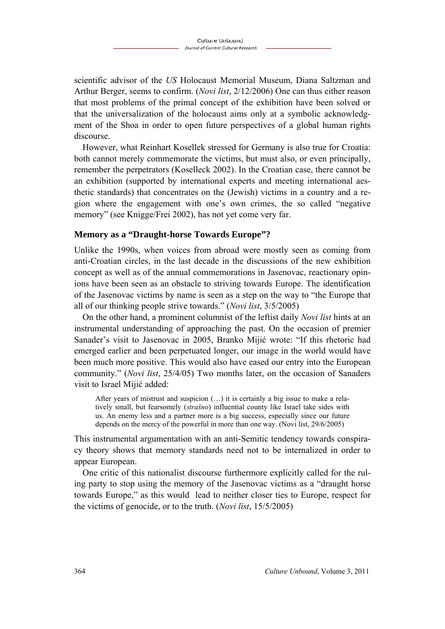scientific advisor of the *US* Holocaust Memorial Museum, Diana Saltzman and Arthur Berger, seems to confirm. (*Novi list*, 2/12/2006) One can thus either reason that most problems of the primal concept of the exhibition have been solved or that the universalization of the holocaust aims only at a symbolic acknowledgment of the Shoa in order to open future perspectives of a global human rights discourse.

However, what Reinhart Kosellek stressed for Germany is also true for Croatia: both cannot merely commemorate the victims, but must also, or even principally, remember the perpetrators (Koselleck 2002). In the Croatian case, there cannot be an exhibition (supported by international experts and meeting international aesthetic standards) that concentrates on the (Jewish) victims in a country and a region where the engagement with one's own crimes, the so called "negative memory" (see Knigge/Frei 2002), has not yet come very far.

#### **Memory as a "Draught-horse Towards Europe"?**

Unlike the 1990s, when voices from abroad were mostly seen as coming from anti-Croatian circles, in the last decade in the discussions of the new exhibition concept as well as of the annual commemorations in Jasenovac, reactionary opinions have been seen as an obstacle to striving towards Europe. The identification of the Jasenovac victims by name is seen as a step on the way to "the Europe that all of our thinking people strive towards." (*Novi list*, 3/5/2005)

On the other hand, a prominent columnist of the leftist daily *Novi list* hints at an instrumental understanding of approaching the past. On the occasion of premier Sanader's visit to Jasenovac in 2005, Branko Mijić wrote: "If this rhetoric had emerged earlier and been perpetuated longer, our image in the world would have been much more positive. This would also have eased our entry into the European community." (*Novi list*, 25/4/05) Two months later, on the occasion of Sanaders visit to Israel Mijić added:

After years of mistrust and suspicion (…) it is certainly a big issue to make a relatively small, but fearsomely (*strašno*) influential county like Israel take sides with us. An enemy less and a partner more is a big success, especially since our future depends on the mercy of the powerful in more than one way. (Novi list, 29/6/2005)

This instrumental argumentation with an anti-Semitic tendency towards conspiracy theory shows that memory standards need not to be internalized in order to appear European.

One critic of this nationalist discourse furthermore explicitly called for the ruling party to stop using the memory of the Jasenovac victims as a "draught horse towards Europe," as this would lead to neither closer ties to Europe, respect for the victims of genocide, or to the truth. (*Novi list*, 15/5/2005)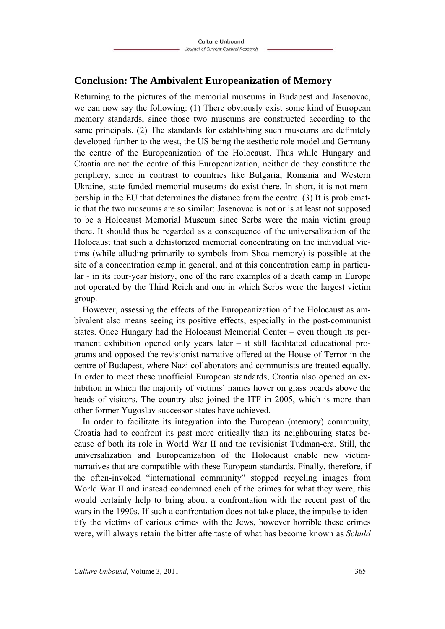### **Conclusion: The Ambivalent Europeanization of Memory**

Returning to the pictures of the memorial museums in Budapest and Jasenovac, we can now say the following: (1) There obviously exist some kind of European memory standards, since those two museums are constructed according to the same principals. (2) The standards for establishing such museums are definitely developed further to the west, the US being the aesthetic role model and Germany the centre of the Europeanization of the Holocaust. Thus while Hungary and Croatia are not the centre of this Europeanization, neither do they constitute the periphery, since in contrast to countries like Bulgaria, Romania and Western Ukraine, state-funded memorial museums do exist there. In short, it is not membership in the EU that determines the distance from the centre. (3) It is problematic that the two museums are so similar: Jasenovac is not or is at least not supposed to be a Holocaust Memorial Museum since Serbs were the main victim group there. It should thus be regarded as a consequence of the universalization of the Holocaust that such a dehistorized memorial concentrating on the individual victims (while alluding primarily to symbols from Shoa memory) is possible at the site of a concentration camp in general, and at this concentration camp in particular - in its four-year history, one of the rare examples of a death camp in Europe not operated by the Third Reich and one in which Serbs were the largest victim group.

However, assessing the effects of the Europeanization of the Holocaust as ambivalent also means seeing its positive effects, especially in the post-communist states. Once Hungary had the Holocaust Memorial Center – even though its permanent exhibition opened only years later – it still facilitated educational programs and opposed the revisionist narrative offered at the House of Terror in the centre of Budapest, where Nazi collaborators and communists are treated equally. In order to meet these unofficial European standards, Croatia also opened an exhibition in which the majority of victims' names hover on glass boards above the heads of visitors. The country also joined the ITF in 2005, which is more than other former Yugoslav successor-states have achieved.

In order to facilitate its integration into the European (memory) community, Croatia had to confront its past more critically than its neighbouring states because of both its role in World War II and the revisionist Tuđman-era. Still, the universalization and Europeanization of the Holocaust enable new victimnarratives that are compatible with these European standards. Finally, therefore, if the often-invoked "international community" stopped recycling images from World War II and instead condemned each of the crimes for what they were, this would certainly help to bring about a confrontation with the recent past of the wars in the 1990s. If such a confrontation does not take place, the impulse to identify the victims of various crimes with the Jews, however horrible these crimes were, will always retain the bitter aftertaste of what has become known as *Schuld*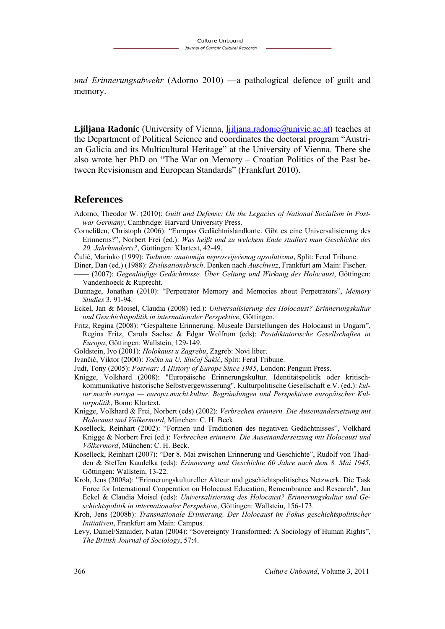*und Erinnerungsabwehr* (Adorno 2010) —a pathological defence of guilt and memory.

**Ljiljana Radonic** (University of Vienna, ljiljana.radonic@univie.ac.at) teaches at the Department of Political Science and coordinates the doctoral program "Austrian Galicia and its Multicultural Heritage" at the University of Vienna. There she also wrote her PhD on "The War on Memory – Croatian Politics of the Past between Revisionism and European Standards" (Frankfurt 2010).

#### **References**

- Adorno, Theodor W. (2010): *Guilt and Defense: On the Legacies of National Socialism in Postwar Germany*, Cambridge: Harvard University Press.
- Cornelißen, Christoph (2006): "Europas Gedächtnislandkarte. Gibt es eine Universalisierung des Erinnerns?", Norbert Frei (ed.): *Was heißt und zu welchem Ende studiert man Geschichte des 20. Jahrhunderts?*, Göttingen: Klartext, 42-49.

Čulić, Marinko (1999): *Tuđman: anatomija neprosvijećenog apsolutizma*, Split: Feral Tribune.

- Diner, Dan (ed.) (1988): *Zivilisationsbruch*. Denken nach *Auschwitz*, Frankfurt am Main: Fischer.
- –––– (2007): *Gegenläufige Gedächtnisse. Über Geltung und Wirkung des Holocaust*, Göttingen: Vandenhoeck & Ruprecht.
- Dunnage, Jonathan (2010): "Perpetrator Memory and Memories about Perpetrators", *Memory Studies* 3, 91-94.
- Eckel, Jan & Moisel, Claudia (2008) (ed.): *Universalisierung des Holocaust? Erinnerungskultur und Geschichtspolitik in internationaler Perspektive*, Göttingen.
- Fritz, Regina (2008): "Gespaltene Erinnerung. Museale Darstellungen des Holocaust in Ungarn", Regina Fritz, Carola Sachse & Edgar Wolfrum (eds): *Postdiktatorische Gesellschaften in Europa*, Göttingen: Wallstein, 129-149.
- Goldstein, Ivo (2001): *Holokaust u Zagrebu*, Zagreb: Novi liber.
- Ivančić, Viktor (2000): *Točka na U. Slučaj Šakić*, Split: Feral Tribune.
- Judt, Tony (2005): *Postwar: A History of Europe Since 1945*, London: Penguin Press.
- Knigge, Volkhard (2008): "Europäische Erinnerungskultur. Identitätspolitik oder kritischkommunikative historische Selbstvergewisserung", Kulturpolitische Gesellschaft e.V. (ed.): *kultur.macht.europa — europa.macht.kultur. Begründungen und Perspektiven europäischer Kulturpolitik*, Bonn: Klartext.
- Knigge, Volkhard & Frei, Norbert (eds) (2002): *Verbrechen erinnern. Die Auseinandersetzung mit Holocaust und Völkermord*, München: C. H. Beck.
- Koselleck, Reinhart (2002): "Formen und Traditionen des negativen Gedächtnisses", Volkhard Knigge & Norbert Frei (ed.): *Verbrechen erinnern. Die Auseinandersetzung mit Holocaust und Völkermord*, München: C. H. Beck.
- Koselleck, Reinhart (2007): "Der 8. Mai zwischen Erinnerung und Geschichte", Rudolf von Thadden & Steffen Kaudelka (eds): *Erinnerung und Geschichte 60 Jahre nach dem 8. Mai 1945*, Göttingen: Wallstein, 13-22.
- Kroh, Jens (2008a): "Erinnerungskultureller Akteur und geschichtspolitisches Netzwerk. Die Task Force for International Cooperation on Holocaust Education, Remembrance and Research", Jan Eckel & Claudia Moisel (eds): *Universalisierung des Holocaust? Erinnerungskultur und Geschichtspolitik in internationaler Perspektive*, Göttingen: Wallstein, 156-173.
- Kroh, Jens (2008b): *Transnationale Erinnerung. Der Holocaust im Fokus geschichtspolitischer Initiativen*, Frankfurt am Main: Campus.
- Levy, Daniel/Sznaider, Natan (2004): "Sovereignty Transformed: A Sociology of Human Rights", *The British Journal of Sociology*, 57:4.